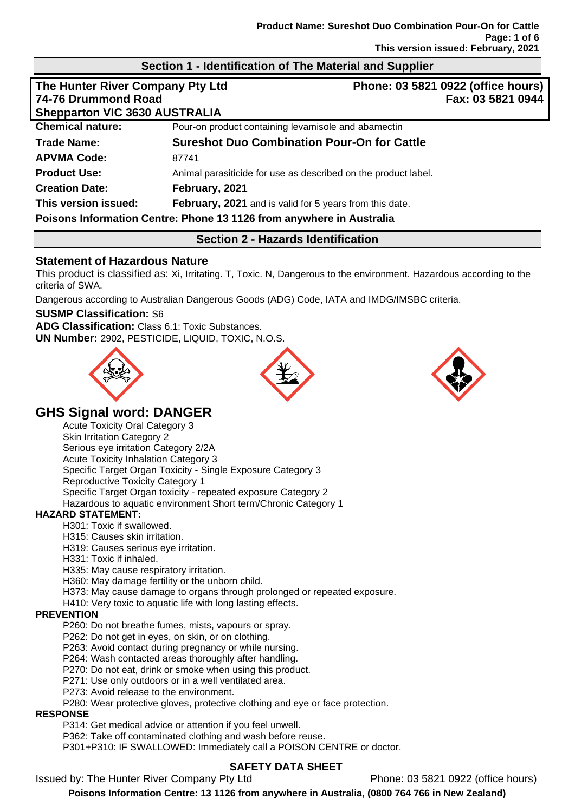### **Section 1 - Identification of The Material and Supplier**

| The Hunter River Company Pty Ltd<br>74-76 Drummond Road |                                                                      | Phone: 03 5821 0922 (office hours)<br>Fax: 03 5821 0944 |  |
|---------------------------------------------------------|----------------------------------------------------------------------|---------------------------------------------------------|--|
|                                                         |                                                                      |                                                         |  |
| <b>Chemical nature:</b>                                 | Pour-on product containing levamisole and abamectin                  |                                                         |  |
| <b>Trade Name:</b>                                      | <b>Sureshot Duo Combination Pour-On for Cattle</b>                   |                                                         |  |
| <b>APVMA Code:</b>                                      | 87741                                                                |                                                         |  |
| <b>Product Use:</b>                                     | Animal parasiticide for use as described on the product label.       |                                                         |  |
| <b>Creation Date:</b>                                   | February, 2021                                                       |                                                         |  |
| This version issued:                                    | February, 2021 and is valid for 5 years from this date.              |                                                         |  |
|                                                         | Poisons Information Centre: Phone 13 1126 from anywhere in Australia |                                                         |  |

### **Section 2 - Hazards Identification**

### **Statement of Hazardous Nature**

This product is classified as: Xi, Irritating. T, Toxic. N, Dangerous to the environment. Hazardous according to the criteria of SWA.

Dangerous according to Australian Dangerous Goods (ADG) Code, IATA and IMDG/IMSBC criteria.

#### **SUSMP Classification:** S6

**ADG Classification:** Class 6.1: Toxic Substances. **UN Number:** 2902, PESTICIDE, LIQUID, TOXIC, N.O.S.







# **GHS Signal word: DANGER**

Acute Toxicity Oral Category 3 Skin Irritation Category 2 Serious eye irritation Category 2/2A Acute Toxicity Inhalation Category 3 Specific Target Organ Toxicity - Single Exposure Category 3 Reproductive Toxicity Category 1 Specific Target Organ toxicity - repeated exposure Category 2 Hazardous to aquatic environment Short term/Chronic Category 1

#### **HAZARD STATEMENT:**

H301: Toxic if swallowed.

H315: Causes skin irritation.

H319: Causes serious eye irritation.

H331: Toxic if inhaled.

H335: May cause respiratory irritation.

H360: May damage fertility or the unborn child.

H373: May cause damage to organs through prolonged or repeated exposure.

H410: Very toxic to aquatic life with long lasting effects.

#### **PREVENTION**

P260: Do not breathe fumes, mists, vapours or spray.

P262: Do not get in eyes, on skin, or on clothing.

P263: Avoid contact during pregnancy or while nursing.

- P264: Wash contacted areas thoroughly after handling.
- P270: Do not eat, drink or smoke when using this product.

P271: Use only outdoors or in a well ventilated area.

P273: Avoid release to the environment.

P280: Wear protective gloves, protective clothing and eye or face protection.

### **RESPONSE**

P314: Get medical advice or attention if you feel unwell.

P362: Take off contaminated clothing and wash before reuse.

P301+P310: IF SWALLOWED: Immediately call a POISON CENTRE or doctor.

# **SAFETY DATA SHEET**

Issued by: The Hunter River Company Pty Ltd Phone: 03 5821 0922 (office hours)

**Poisons Information Centre: 13 1126 from anywhere in Australia, (0800 764 766 in New Zealand)**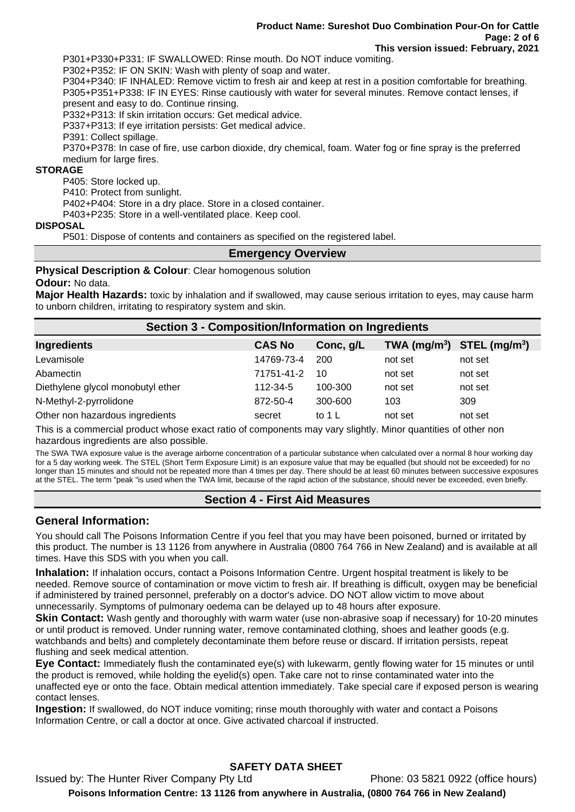P301+P330+P331: IF SWALLOWED: Rinse mouth. Do NOT induce vomiting.

P302+P352: IF ON SKIN: Wash with plenty of soap and water.

P304+P340: IF INHALED: Remove victim to fresh air and keep at rest in a position comfortable for breathing. P305+P351+P338: IF IN EYES: Rinse cautiously with water for several minutes. Remove contact lenses, if present and easy to do. Continue rinsing.

P332+P313: If skin irritation occurs: Get medical advice.

P337+P313: If eye irritation persists: Get medical advice.

P391: Collect spillage.

P370+P378: In case of fire, use carbon dioxide, dry chemical, foam. Water fog or fine spray is the preferred medium for large fires.

#### **STORAGE**

P405: Store locked up.

P410: Protect from sunlight.

P402+P404: Store in a dry place. Store in a closed container.

P403+P235: Store in a well-ventilated place. Keep cool.

#### **DISPOSAL**

P501: Dispose of contents and containers as specified on the registered label.

#### **Emergency Overview**

#### **Physical Description & Colour: Clear homogenous solution**

#### **Odour:** No data.

**Major Health Hazards:** toxic by inhalation and if swallowed, may cause serious irritation to eyes, may cause harm to unborn children, irritating to respiratory system and skin.

| <b>Section 3 - Composition/Information on Ingredients</b> |               |           |                                |         |  |
|-----------------------------------------------------------|---------------|-----------|--------------------------------|---------|--|
| Ingredients                                               | <b>CAS No</b> | Conc, g/L | TWA $(mg/m^3)$ STEL $(mg/m^3)$ |         |  |
| Levamisole                                                | 14769-73-4    | 200       | not set                        | not set |  |
| Abamectin                                                 | 71751-41-2    | 10        | not set                        | not set |  |
| Diethylene glycol monobutyl ether                         | 112-34-5      | 100-300   | not set                        | not set |  |
| N-Methyl-2-pyrrolidone                                    | 872-50-4      | 300-600   | 103                            | 309     |  |
| Other non hazardous ingredients                           | secret        | to 1 L    | not set                        | not set |  |

This is a commercial product whose exact ratio of components may vary slightly. Minor quantities of other non hazardous ingredients are also possible.

The SWA TWA exposure value is the average airborne concentration of a particular substance when calculated over a normal 8 hour working day for a 5 day working week. The STEL (Short Term Exposure Limit) is an exposure value that may be equalled (but should not be exceeded) for no longer than 15 minutes and should not be repeated more than 4 times per day. There should be at least 60 minutes between successive exposures at the STEL. The term "peak "is used when the TWA limit, because of the rapid action of the substance, should never be exceeded, even briefly.

### **Section 4 - First Aid Measures**

### **General Information:**

You should call The Poisons Information Centre if you feel that you may have been poisoned, burned or irritated by this product. The number is 13 1126 from anywhere in Australia (0800 764 766 in New Zealand) and is available at all times. Have this SDS with you when you call.

**Inhalation:** If inhalation occurs, contact a Poisons Information Centre. Urgent hospital treatment is likely to be needed. Remove source of contamination or move victim to fresh air. If breathing is difficult, oxygen may be beneficial if administered by trained personnel, preferably on a doctor's advice. DO NOT allow victim to move about unnecessarily. Symptoms of pulmonary oedema can be delayed up to 48 hours after exposure.

**Skin Contact:** Wash gently and thoroughly with warm water (use non-abrasive soap if necessary) for 10-20 minutes or until product is removed. Under running water, remove contaminated clothing, shoes and leather goods (e.g. watchbands and belts) and completely decontaminate them before reuse or discard. If irritation persists, repeat flushing and seek medical attention.

**Eye Contact:** Immediately flush the contaminated eye(s) with lukewarm, gently flowing water for 15 minutes or until the product is removed, while holding the eyelid(s) open. Take care not to rinse contaminated water into the unaffected eye or onto the face. Obtain medical attention immediately. Take special care if exposed person is wearing contact lenses.

**Ingestion:** If swallowed, do NOT induce vomiting; rinse mouth thoroughly with water and contact a Poisons Information Centre, or call a doctor at once. Give activated charcoal if instructed.

# **SAFETY DATA SHEET**

Issued by: The Hunter River Company Pty Ltd Phone: 03 5821 0922 (office hours) **Poisons Information Centre: 13 1126 from anywhere in Australia, (0800 764 766 in New Zealand)**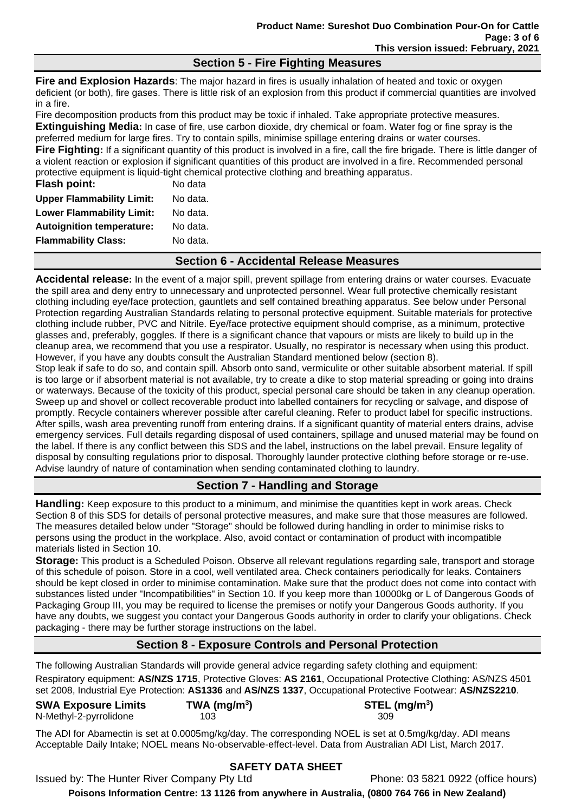### **Section 5 - Fire Fighting Measures**

**Fire and Explosion Hazards**: The major hazard in fires is usually inhalation of heated and toxic or oxygen deficient (or both), fire gases. There is little risk of an explosion from this product if commercial quantities are involved in a fire.

Fire decomposition products from this product may be toxic if inhaled. Take appropriate protective measures. **Extinguishing Media:** In case of fire, use carbon dioxide, dry chemical or foam. Water fog or fine spray is the preferred medium for large fires. Try to contain spills, minimise spillage entering drains or water courses. **Fire Fighting:** If a significant quantity of this product is involved in a fire, call the fire brigade. There is little danger of a violent reaction or explosion if significant quantities of this product are involved in a fire. Recommended personal protective equipment is liquid-tight chemical protective clothing and breathing apparatus.

| Flash point:                     | No data  |
|----------------------------------|----------|
| <b>Upper Flammability Limit:</b> | No data. |
| <b>Lower Flammability Limit:</b> | No data. |
| <b>Autoignition temperature:</b> | No data. |
| <b>Flammability Class:</b>       | No data. |
|                                  |          |

# **Section 6 - Accidental Release Measures**

**Accidental release:** In the event of a major spill, prevent spillage from entering drains or water courses. Evacuate the spill area and deny entry to unnecessary and unprotected personnel. Wear full protective chemically resistant clothing including eye/face protection, gauntlets and self contained breathing apparatus. See below under Personal Protection regarding Australian Standards relating to personal protective equipment. Suitable materials for protective clothing include rubber, PVC and Nitrile. Eye/face protective equipment should comprise, as a minimum, protective glasses and, preferably, goggles. If there is a significant chance that vapours or mists are likely to build up in the cleanup area, we recommend that you use a respirator. Usually, no respirator is necessary when using this product. However, if you have any doubts consult the Australian Standard mentioned below (section 8).

Stop leak if safe to do so, and contain spill. Absorb onto sand, vermiculite or other suitable absorbent material. If spill is too large or if absorbent material is not available, try to create a dike to stop material spreading or going into drains or waterways. Because of the toxicity of this product, special personal care should be taken in any cleanup operation. Sweep up and shovel or collect recoverable product into labelled containers for recycling or salvage, and dispose of promptly. Recycle containers wherever possible after careful cleaning. Refer to product label for specific instructions. After spills, wash area preventing runoff from entering drains. If a significant quantity of material enters drains, advise emergency services. Full details regarding disposal of used containers, spillage and unused material may be found on the label. If there is any conflict between this SDS and the label, instructions on the label prevail. Ensure legality of disposal by consulting regulations prior to disposal. Thoroughly launder protective clothing before storage or re-use. Advise laundry of nature of contamination when sending contaminated clothing to laundry.

# **Section 7 - Handling and Storage**

**Handling:** Keep exposure to this product to a minimum, and minimise the quantities kept in work areas. Check Section 8 of this SDS for details of personal protective measures, and make sure that those measures are followed. The measures detailed below under "Storage" should be followed during handling in order to minimise risks to persons using the product in the workplace. Also, avoid contact or contamination of product with incompatible materials listed in Section 10.

**Storage:** This product is a Scheduled Poison. Observe all relevant regulations regarding sale, transport and storage of this schedule of poison. Store in a cool, well ventilated area. Check containers periodically for leaks. Containers should be kept closed in order to minimise contamination. Make sure that the product does not come into contact with substances listed under "Incompatibilities" in Section 10. If you keep more than 10000kg or L of Dangerous Goods of Packaging Group III, you may be required to license the premises or notify your Dangerous Goods authority. If you have any doubts, we suggest you contact your Dangerous Goods authority in order to clarify your obligations. Check packaging - there may be further storage instructions on the label.

# **Section 8 - Exposure Controls and Personal Protection**

The following Australian Standards will provide general advice regarding safety clothing and equipment: Respiratory equipment: **AS/NZS 1715**, Protective Gloves: **AS 2161**, Occupational Protective Clothing: AS/NZS 4501 set 2008, Industrial Eye Protection: **AS1336** and **AS/NZS 1337**, Occupational Protective Footwear: **AS/NZS2210**.

| <b>SWA Exposure Limits</b> | TWA (mg/m <sup>3</sup> ) | $STEL$ (mg/m <sup>3</sup> ) |
|----------------------------|--------------------------|-----------------------------|
| N-Methyl-2-pyrrolidone     | 103                      | 309                         |

The ADI for Abamectin is set at 0.0005mg/kg/day. The corresponding NOEL is set at 0.5mg/kg/day. ADI means Acceptable Daily Intake; NOEL means No-observable-effect-level. Data from Australian ADI List, March 2017.

# **SAFETY DATA SHEET**

Issued by: The Hunter River Company Pty Ltd Phone: 03 5821 0922 (office hours)

**Poisons Information Centre: 13 1126 from anywhere in Australia, (0800 764 766 in New Zealand)**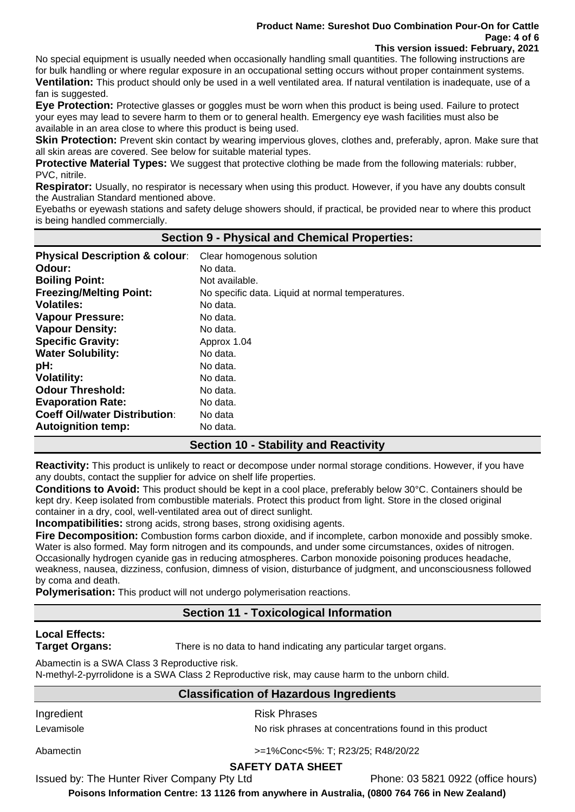### **Product Name: Sureshot Duo Combination Pour-On for Cattle Page: 4 of 6**

**This version issued: February, 2021**

No special equipment is usually needed when occasionally handling small quantities. The following instructions are for bulk handling or where regular exposure in an occupational setting occurs without proper containment systems. **Ventilation:** This product should only be used in a well ventilated area. If natural ventilation is inadequate, use of a fan is suggested.

**Eye Protection:** Protective glasses or goggles must be worn when this product is being used. Failure to protect your eyes may lead to severe harm to them or to general health. Emergency eye wash facilities must also be available in an area close to where this product is being used.

**Skin Protection:** Prevent skin contact by wearing impervious gloves, clothes and, preferably, apron. Make sure that all skin areas are covered. See below for suitable material types.

**Protective Material Types:** We suggest that protective clothing be made from the following materials: rubber, PVC, nitrile.

**Respirator:** Usually, no respirator is necessary when using this product. However, if you have any doubts consult the Australian Standard mentioned above.

Eyebaths or eyewash stations and safety deluge showers should, if practical, be provided near to where this product is being handled commercially.

### **Section 9 - Physical and Chemical Properties: Physical Description & colour**: Clear homogenous solution **Odour:** No data. **Boiling Point:** Not available. **Freezing/Melting Point:** No specific data. Liquid at normal temperatures. **Volatiles:** No data. **Vapour Pressure:** No data. **Vapour Density:** No data. **Specific Gravity:** Approx 1.04 **Water Solubility:** No data. **pH:** No data. Volatility: No data. **Odour Threshold:** No data. **Evaporation Rate:** No data. **Coeff Oil/water Distribution:** No data **Autoignition temp:** No data.

# **Section 10 - Stability and Reactivity**

**Reactivity:** This product is unlikely to react or decompose under normal storage conditions. However, if you have any doubts, contact the supplier for advice on shelf life properties.

**Conditions to Avoid:** This product should be kept in a cool place, preferably below 30°C. Containers should be kept dry. Keep isolated from combustible materials. Protect this product from light. Store in the closed original container in a dry, cool, well-ventilated area out of direct sunlight.

**Incompatibilities:** strong acids, strong bases, strong oxidising agents.

**Fire Decomposition:** Combustion forms carbon dioxide, and if incomplete, carbon monoxide and possibly smoke. Water is also formed. May form nitrogen and its compounds, and under some circumstances, oxides of nitrogen. Occasionally hydrogen cyanide gas in reducing atmospheres. Carbon monoxide poisoning produces headache, weakness, nausea, dizziness, confusion, dimness of vision, disturbance of judgment, and unconsciousness followed by coma and death.

**Polymerisation:** This product will not undergo polymerisation reactions.

# **Section 11 - Toxicological Information**

# **Local Effects:**

**Target Organs:** There is no data to hand indicating any particular target organs.

Abamectin is a SWA Class 3 Reproductive risk.

N-methyl-2-pyrrolidone is a SWA Class 2 Reproductive risk, may cause harm to the unborn child.

# **Classification of Hazardous Ingredients**

Levamisole **No risk phases at concentrations found in this product** 

Ingredient **Risk Phrases** 

Abamectin >=1%Conc<5%: T; R23/25; R48/20/22

# **SAFETY DATA SHEET**

Issued by: The Hunter River Company Pty Ltd Phone: 03 5821 0922 (office hours)

**Poisons Information Centre: 13 1126 from anywhere in Australia, (0800 764 766 in New Zealand)**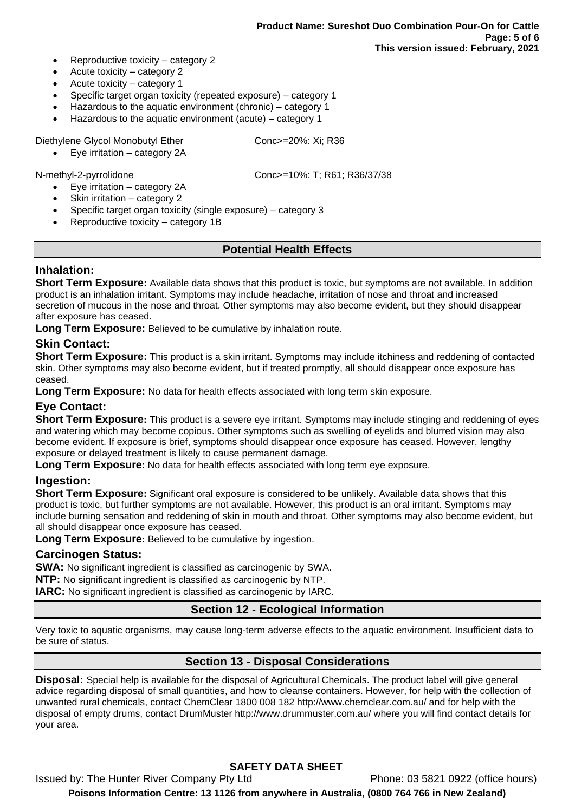- Reproductive toxicity category 2
- Acute toxicity category 2
- Acute toxicity category 1
- Specific target organ toxicity (repeated exposure) category 1
- Hazardous to the aquatic environment (chronic) category 1
- Hazardous to the aquatic environment (acute) category 1

Diethylene Glycol Monobutyl Ether Conc>=20%: Xi; R36

• Eye irritation – category 2A

- Eye irritation category 2A
- Skin irritation category 2
- Specific target organ toxicity (single exposure) category 3
- Reproductive toxicity category 1B

### **Potential Health Effects**

### **Inhalation:**

**Short Term Exposure:** Available data shows that this product is toxic, but symptoms are not available. In addition product is an inhalation irritant. Symptoms may include headache, irritation of nose and throat and increased secretion of mucous in the nose and throat. Other symptoms may also become evident, but they should disappear after exposure has ceased.

Long Term Exposure: Believed to be cumulative by inhalation route.

### **Skin Contact:**

**Short Term Exposure:** This product is a skin irritant. Symptoms may include itchiness and reddening of contacted skin. Other symptoms may also become evident, but if treated promptly, all should disappear once exposure has ceased.

**Long Term Exposure:** No data for health effects associated with long term skin exposure.

### **Eye Contact:**

**Short Term Exposure:** This product is a severe eye irritant. Symptoms may include stinging and reddening of eyes and watering which may become copious. Other symptoms such as swelling of eyelids and blurred vision may also become evident. If exposure is brief, symptoms should disappear once exposure has ceased. However, lengthy exposure or delayed treatment is likely to cause permanent damage.

**Long Term Exposure:** No data for health effects associated with long term eye exposure.

### **Ingestion:**

**Short Term Exposure:** Significant oral exposure is considered to be unlikely. Available data shows that this product is toxic, but further symptoms are not available. However, this product is an oral irritant. Symptoms may include burning sensation and reddening of skin in mouth and throat. Other symptoms may also become evident, but all should disappear once exposure has ceased.

**Long Term Exposure:** Believed to be cumulative by ingestion.

### **Carcinogen Status:**

**SWA:** No significant ingredient is classified as carcinogenic by SWA.

**NTP:** No significant ingredient is classified as carcinogenic by NTP.

**IARC:** No significant ingredient is classified as carcinogenic by IARC.

# **Section 12 - Ecological Information**

Very toxic to aquatic organisms, may cause long-term adverse effects to the aquatic environment. Insufficient data to be sure of status.

### **Section 13 - Disposal Considerations**

**Disposal:** Special help is available for the disposal of Agricultural Chemicals. The product label will give general advice regarding disposal of small quantities, and how to cleanse containers. However, for help with the collection of unwanted rural chemicals, contact ChemClear 1800 008 182 http://www.chemclear.com.au/ and for help with the disposal of empty drums, contact DrumMuster http://www.drummuster.com.au/ where you will find contact details for your area.

# **SAFETY DATA SHEET**

Issued by: The Hunter River Company Pty Ltd Phone: 03 5821 0922 (office hours) **Poisons Information Centre: 13 1126 from anywhere in Australia, (0800 764 766 in New Zealand)**

N-methyl-2-pyrrolidone Conc>=10%: T; R61; R36/37/38